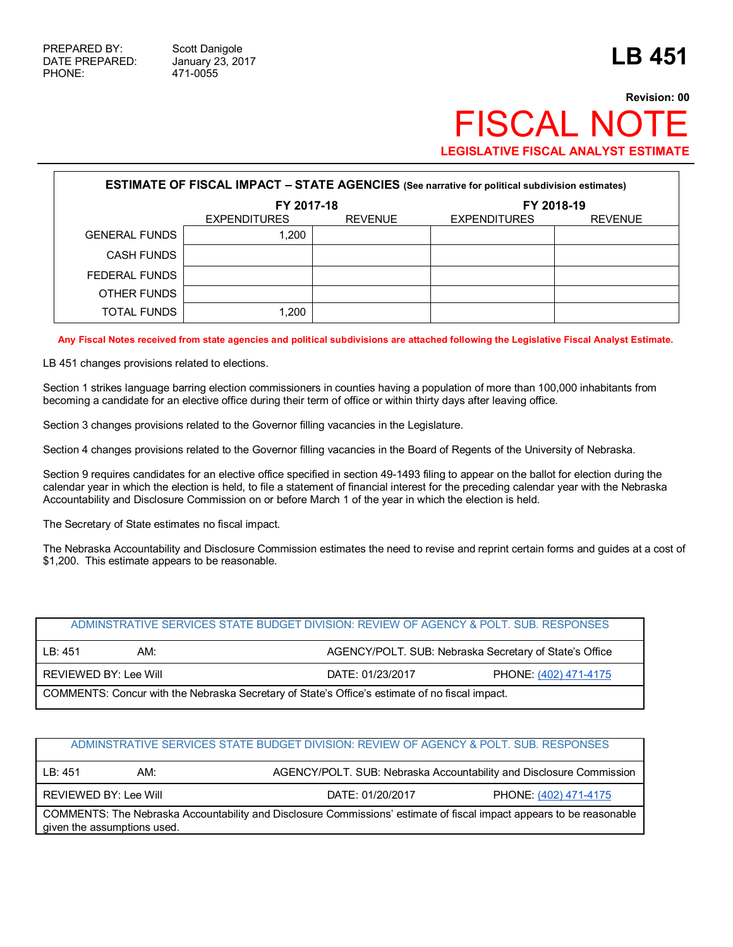## **Revision: 00 FISCAL NOT LEGISLATIVE FISCAL ANALYST ESTIMATE**

| <b>ESTIMATE OF FISCAL IMPACT - STATE AGENCIES (See narrative for political subdivision estimates)</b> |                     |                |                     |                |  |  |
|-------------------------------------------------------------------------------------------------------|---------------------|----------------|---------------------|----------------|--|--|
|                                                                                                       | FY 2017-18          |                | FY 2018-19          |                |  |  |
|                                                                                                       | <b>EXPENDITURES</b> | <b>REVENUE</b> | <b>EXPENDITURES</b> | <b>REVENUE</b> |  |  |
| <b>GENERAL FUNDS</b>                                                                                  | 1.200               |                |                     |                |  |  |
| <b>CASH FUNDS</b>                                                                                     |                     |                |                     |                |  |  |
| FEDERAL FUNDS                                                                                         |                     |                |                     |                |  |  |
| OTHER FUNDS                                                                                           |                     |                |                     |                |  |  |
| <b>TOTAL FUNDS</b>                                                                                    | 1.200               |                |                     |                |  |  |

**Any Fiscal Notes received from state agencies and political subdivisions are attached following the Legislative Fiscal Analyst Estimate.**

LB 451 changes provisions related to elections.

Section 1 strikes language barring election commissioners in counties having a population of more than 100,000 inhabitants from becoming a candidate for an elective office during their term of office or within thirty days after leaving office.

Section 3 changes provisions related to the Governor filling vacancies in the Legislature.

Section 4 changes provisions related to the Governor filling vacancies in the Board of Regents of the University of Nebraska.

Section 9 requires candidates for an elective office specified in section 49-1493 filing to appear on the ballot for election during the calendar year in which the election is held, to file a statement of financial interest for the preceding calendar year with the Nebraska Accountability and Disclosure Commission on or before March 1 of the year in which the election is held.

The Secretary of State estimates no fiscal impact.

The Nebraska Accountability and Disclosure Commission estimates the need to revise and reprint certain forms and guides at a cost of \$1,200. This estimate appears to be reasonable.

| ADMINSTRATIVE SERVICES STATE BUDGET DIVISION: REVIEW OF AGENCY & POLT. SUB. RESPONSES          |     |                                                        |  |  |  |
|------------------------------------------------------------------------------------------------|-----|--------------------------------------------------------|--|--|--|
| IB: 451                                                                                        | AM: | AGENCY/POLT. SUB: Nebraska Secretary of State's Office |  |  |  |
| REVIEWED BY: Lee Will<br>DATE: 01/23/2017<br>PHONE: (402) 471-4175                             |     |                                                        |  |  |  |
| COMMENTS: Concur with the Nebraska Secretary of State's Office's estimate of no fiscal impact. |     |                                                        |  |  |  |

## ADMINSTRATIVE SERVICES STATE BUDGET DIVISION: REVIEW OF AGENCY & POLT. SUB. RESPONSES

LB: 451 AM: AM: AGENCY/POLT. SUB: Nebraska Accountability and Disclosure Commission

REVIEWED BY: Lee Will **DATE: 01/20/2017** PHONE: (402) 471-4175

COMMENTS: The Nebraska Accountability and Disclosure Commissions' estimate of fiscal impact appears to be reasonable given the assumptions used.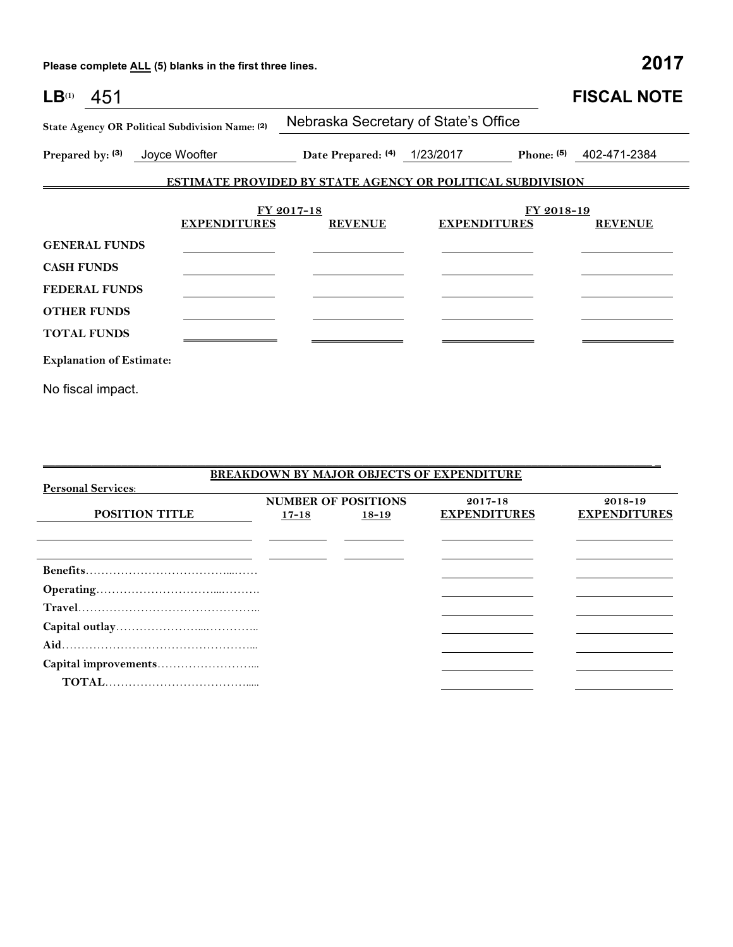**Please complete ALL (5) blanks in the first three lines. 2017**

| LB <sup>(1)</sup><br>451          |                                                 |                                                                   |                     |              | <b>FISCAL NOTE</b> |  |  |
|-----------------------------------|-------------------------------------------------|-------------------------------------------------------------------|---------------------|--------------|--------------------|--|--|
|                                   | State Agency OR Political Subdivision Name: (2) | Nebraska Secretary of State's Office                              |                     |              |                    |  |  |
| Joyce Woofter<br>Prepared by: (3) |                                                 | 1/23/2017<br>Date Prepared: (4)                                   |                     | Phone: $(5)$ | 402-471-2384       |  |  |
|                                   |                                                 | <b>ESTIMATE PROVIDED BY STATE AGENCY OR POLITICAL SUBDIVISION</b> |                     |              |                    |  |  |
|                                   | <b>EXPENDITURES</b>                             | FY 2017-18<br><b>REVENUE</b>                                      | <b>EXPENDITURES</b> | FY 2018-19   | <b>REVENUE</b>     |  |  |
| <b>GENERAL FUNDS</b>              |                                                 |                                                                   |                     |              |                    |  |  |
| <b>CASH FUNDS</b>                 |                                                 |                                                                   |                     |              |                    |  |  |
| <b>FEDERAL FUNDS</b>              |                                                 |                                                                   |                     |              |                    |  |  |
| <b>OTHER FUNDS</b>                |                                                 |                                                                   |                     |              |                    |  |  |
| <b>TOTAL FUNDS</b>                |                                                 |                                                                   |                     |              |                    |  |  |
| <b>Explanation of Estimate:</b>   |                                                 |                                                                   |                     |              |                    |  |  |
| No fiscal impact.                 |                                                 |                                                                   |                     |              |                    |  |  |

|                           |           |                            | <b>BREAKDOWN BY MAJOR OBJECTS OF EXPENDITURE</b> |                     |  |  |
|---------------------------|-----------|----------------------------|--------------------------------------------------|---------------------|--|--|
| <b>Personal Services:</b> |           |                            |                                                  |                     |  |  |
|                           |           | <b>NUMBER OF POSITIONS</b> | $2017 - 18$                                      | 2018-19             |  |  |
| <b>POSITION TITLE</b>     | $17 - 18$ | $18 - 19$                  | <b>EXPENDITURES</b>                              | <b>EXPENDITURES</b> |  |  |
|                           |           |                            |                                                  |                     |  |  |
|                           |           |                            |                                                  |                     |  |  |
|                           |           |                            |                                                  |                     |  |  |
|                           |           |                            |                                                  |                     |  |  |
|                           |           |                            |                                                  |                     |  |  |
|                           |           |                            |                                                  |                     |  |  |
|                           |           |                            |                                                  |                     |  |  |
|                           |           |                            |                                                  |                     |  |  |
|                           |           |                            |                                                  |                     |  |  |
|                           |           |                            |                                                  |                     |  |  |